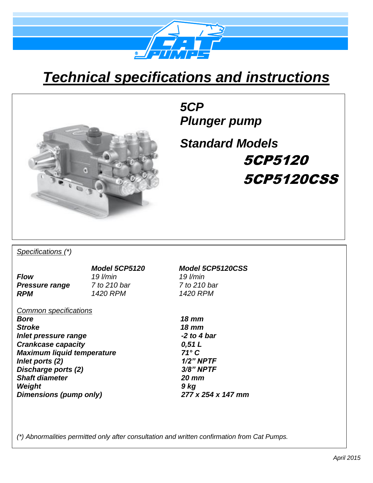

## *Technical specifications and instructions*



*5CP Plunger pump*

*Standard Models* 5CP5120 5CP5120CSS

*Specifications (\*)*

*Flow 19 l/min 19 l/min Pressure range 7 to 210 bar 7 to 210 bar RPM 1420 RPM 1420 RPM*

*Common specifications*

*Bore 18 mm Stroke 18 mm Inlet pressure range -2 to 4 bar Crankcase capacity 0,51 L Maximum liquid temperature 71° C Inlet ports (2) 1/2" NPTF Discharge ports (2) Shaft diameter 20 mm Weight 9 kg Dimensions (pump only) 277 x 254 x 147 mm* 

*Model 5CP5120 Model 5CP5120CSS*

*(\*) Abnormalities permitted only after consultation and written confirmation from Cat Pumps.*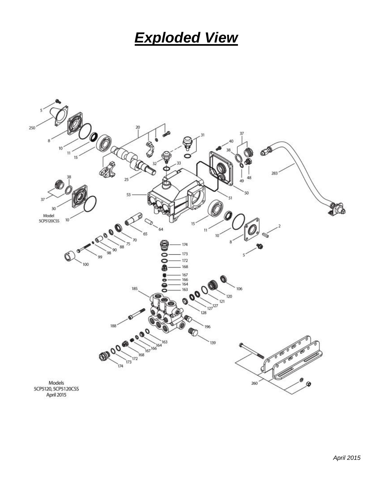## *Exploded View*

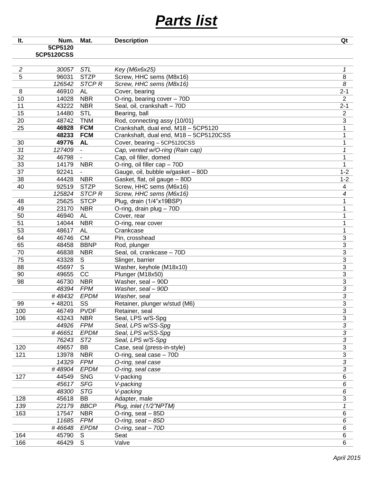## *Parts list*

| It. | Num.       | Mat.              | <b>Description</b>                     | Qt                       |
|-----|------------|-------------------|----------------------------------------|--------------------------|
|     | 5CP5120    |                   |                                        |                          |
|     | 5CP5120CSS |                   |                                        |                          |
|     |            |                   |                                        |                          |
| 2   | 30057      | <b>STL</b>        | Key (M6x6x25)                          | 1                        |
| 5   | 96031      | <b>STZP</b>       | Screw, HHC sems (M8x16)                | 8                        |
|     | 126542     | STCP <sub>R</sub> | Screw, HHC sems (M8x16)                | 8                        |
| 8   | 46910      | AL                | Cover, bearing                         | $2 - 1$                  |
| 10  | 14028      | <b>NBR</b>        | O-ring, bearing cover - 70D            | $\overline{2}$           |
| 11  | 43222      | <b>NBR</b>        | Seal, oil, crankshaft - 70D            | $2 - 1$                  |
| 15  | 14480      | <b>STL</b>        | Bearing, ball                          | $\overline{2}$           |
| 20  | 48742      | <b>TNM</b>        | Rod, connecting assy {10/01}           | $\mathbf{3}$             |
| 25  | 46928      | <b>FCM</b>        | Crankshaft, dual end, M18 - 5CP5120    | 1                        |
|     | 48233      | <b>FCM</b>        | Crankshaft, dual end, M18 - 5CP5120CSS | 1                        |
| 30  | 49776      | <b>AL</b>         | Cover, bearing - 5CP5120CSS            | 1                        |
| 31  | 127409     |                   | Cap, vented w/O-ring (Rain cap)        | 1                        |
| 32  | 46798      |                   | Cap, oil filler, domed                 | 1                        |
| 33  | 14179      | <b>NBR</b>        | O-ring, oil filler cap - 70D           | 1                        |
| 37  | 92241      |                   | Gauge, oil, bubble w/gasket - 80D      | $1 - 2$                  |
| 38  | 44428      | <b>NBR</b>        | Gasket, flat, oil gauge - 80D          | $1 - 2$                  |
| 40  | 92519      | <b>STZP</b>       | Screw, HHC sems (M6x16)                | 4                        |
|     | 125824     | STCP <sub>R</sub> | Screw, HHC sems (M6x16)                | $\overline{\mathcal{A}}$ |
| 48  | 25625      | <b>STCP</b>       | Plug, drain (1/4"x19BSP)               | 1                        |
| 49  | 23170      | <b>NBR</b>        | O-ring, drain plug - 70D               | 1                        |
| 50  | 46940      | <b>AL</b>         | Cover, rear                            | 1                        |
| 51  | 14044      | <b>NBR</b>        | O-ring, rear cover                     | 1                        |
| 53  | 48617      | <b>AL</b>         | Crankcase                              | 1                        |
| 64  | 46746      | <b>CM</b>         | Pin, crosshead                         | $\sqrt{3}$               |
| 65  | 48458      | <b>BBNP</b>       | Rod, plunger                           | $\sqrt{3}$               |
| 70  | 46838      | <b>NBR</b>        | Seal, oil, crankcase - 70D             | $\mathbf{3}$             |
| 75  | 43328      | S                 | Slinger, barrier                       | $\sqrt{3}$               |
| 88  | 45697      | S                 | Washer, keyhole (M18x10)               | $\sqrt{3}$               |
| 90  | 49655      | CC                | Plunger (M18x50)                       | $\sqrt{3}$               |
| 98  | 46730      | <b>NBR</b>        | Washer, seal - 90D                     | $\mathfrak{S}$           |
|     | 48394      | <b>FPM</b>        | Washer, seal - 90D                     | 3                        |
|     | #48432     | <b>EPDM</b>       | Washer, seal                           | 3                        |
| 99  | $+48201$   | SS                | Retainer, plunger w/stud (M6)          | 3                        |
| 100 | 46749      | <b>PVDF</b>       | Retainer, seal                         | $\overline{3}$           |
| 106 | 43243      | <b>NBR</b>        | Seal, LPS w/S-Spg                      | 3                        |
|     | 44926      | <b>FPM</b>        | Seal, LPS w/SS-Spg                     | 3                        |
|     | #46651     | <b>EPDM</b>       | Seal, LPS w/SS-Spg                     | $\overline{3}$           |
|     | 76243      | ST <sub>2</sub>   | Seal, LPS w/S-Spg                      | $\overline{3}$           |
| 120 | 49657      | BB                | Case, seal (press-in-style)            | $\mathfrak{S}$           |
| 121 | 13978      | <b>NBR</b>        | O-ring, seal case - 70D                | 3                        |
|     | 14329      | <b>FPM</b>        | O-ring, seal case                      | $\overline{3}$           |
|     | #48904     | <b>EPDM</b>       | O-ring, seal case                      | 3                        |
| 127 | 44549      | <b>SNG</b>        | V-packing                              | 6                        |
|     | 45617      | SFG               | V-packing                              | 6                        |
|     | 48300      | <b>STG</b>        | V-packing                              | 6                        |
| 128 | 45618      | BB                | Adapter, male                          | 3                        |
| 139 | 22179      | <b>BBCP</b>       | Plug, inlet (1/2"NPTM)                 | 1                        |
| 163 | 17547      | <b>NBR</b>        | O-ring, seat - 85D                     | 6                        |
|     | 11685      | <b>FPM</b>        | O-ring, seat - 85D                     | 6                        |
|     | #46648     | <b>EPDM</b>       | O-ring, seat - 70D                     | 6                        |
| 164 | 45790      | S                 | Seat                                   | 6                        |
| 166 | 46429      | S                 | Valve                                  | 6                        |
|     |            |                   |                                        |                          |